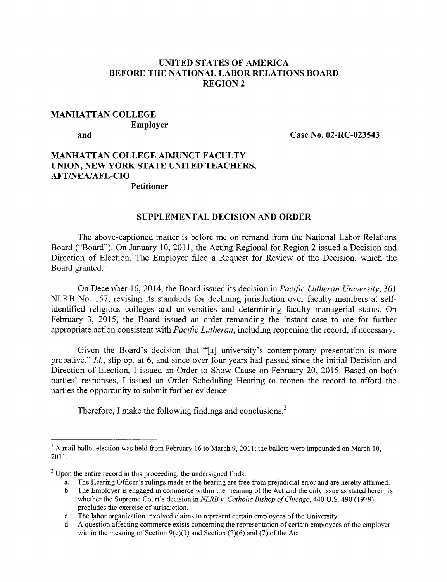### UNITED STATES OF AMERICA BEFORE THE NATIONAL LABOR RELATIONS BOARD REGION 2

## MANHATTAN COLLEGE Employer

and Case No. 02-RC-023543

#### MANHATTAN COLLEGE ADJUNCT FACULTY UNION, NEW YORK STATE UNITED TEACHERS, AFT/NEA/AFL-CIO Petitioner

# SUPPLEMENTAL DECISION AND ORDER

The above-captioned matter is before me on remand from the National Labor Relations Board ("Board"). On January 10, 2011, the Acting Regional for Region 2 issued a Decision and Direction of Election. The Employer filed a Request for Review of the Decision, which the Board granted.<sup>1</sup>

On December 16, 2014, the Board issued its decision in *Pacific Lutheran University,* 361 NLRB No. 157, revising its standards for declining jurisdiction over faculty members at selfidentified religious colleges and universities and determining faculty managerial status. On February 3, 2015, the Board issued an order remanding the instant case to me for further appropriate action consistent with *Pacific Lutheran,* including reopening the record, if necessary.

Given the Board's decision that "[a] university's contemporary presentation is more probative," *Id.,* slip op. at 6, and since over four years had passed since the initial Decision and Direction of Election, I issued an Order to Show Cause on February 20, 2015. Based on both parties' responses, I issued an Order Scheduling Hearing to reopen the record to afford the parties the opportunity to submit further evidence.

Therefore, I make the following findings and conclusions.<sup>2</sup>

<sup>&</sup>lt;sup>1</sup> A mail ballot election was held from February 16 to March 9, 2011; the ballots were impounded on March 10, 2011.

 $2^2$  Upon the entire record in this proceeding, the undersigned finds:

a. The Hearing Officer's rulings made at the hearing are free from prejudicial error and are hereby affirmed.

b. The Employer is engaged in commerce within the meaning of the Act and the only issue as stated herein is whether the Supreme Court's decision in *NLRB v. Catholic Bishop of Chicago,* 440 U.S. 490 (1979) precludes the exercise of jurisdiction.

c. The labor organization involved claims to represent certain employees of the University.

d. A question affecting commerce exists concerning the representation of certain employees of the employer within the meaning of Section  $9(c)(1)$  and Section (2)(6) and (7) of the Act.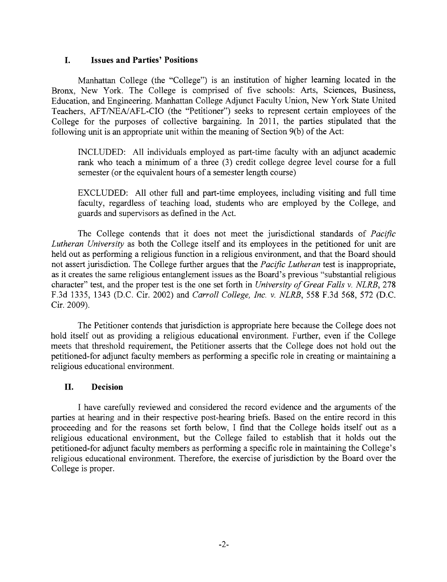#### **I. Issues and Parties' Positions**

Manhattan College (the "College") is an institution of higher learning located in the Bronx, New York. The College is comprised of five schools: Arts, Sciences, Business, Education, and Engineering. Manhattan College Adjunct Faculty Union, New York State United Teachers, AFT/NEA/AFL-CIO (the "Petitioner") seeks to represent certain employees of the College for the purposes of collective bargaining. In 2011, the parties stipulated that the following unit is an appropriate unit within the meaning of Section 9(b) of the Act:

INCLUDED: All individuals employed as part-time faculty with an adjunct academic rank who teach a minimum of a three (3) credit college degree level course for a full semester (or the equivalent hours of a semester length course)

EXCLUDED: All other full and part-time employees, including visiting and full time faculty, regardless of teaching load, students who are employed by the College, and guards and supervisors as defined in the Act.

The College contends that it does not meet the jurisdictional standards of *Pacific Lutheran University* as both the College itself and its employees in the petitioned for unit are held out as performing a religious function in a religious environment, and that the Board should not assert jurisdiction. The College further argues that the *Pacific Lutheran* test is inappropriate, as it creates the same religious entanglement issues as the Board's previous "substantial religious character" test, and the proper test is the one set forth in *University of Great Falls v. NLRB,* 278 F.3d 1335, 1343 (D.C. Cir. 2002) and *Carroll College, Inc. v. NLRB,* 558 F.3d 568, 572 (D.C. Cir. 2009).

The Petitioner contends that jurisdiction is appropriate here because the College does not hold itself out as providing a religious educational environment. Further, even if the College meets that threshold requirement, the Petitioner asserts that the College does not hold out the petitioned-for adjunct faculty members as performing a specific role in creating or maintaining a religious educational environment.

#### **II. Decision**

I have carefully reviewed and considered the record evidence and the arguments of the parties at hearing and in their respective post-hearing briefs. Based on the entire record in this proceeding and for the reasons set forth below, I find that the College holds itself out as a religious educational environment, but the College failed to establish that it holds out the petitioned-for adjunct faculty members as performing a specific role in maintaining the College's religious educational environment. Therefore, the exercise of jurisdiction by the Board over the College is proper.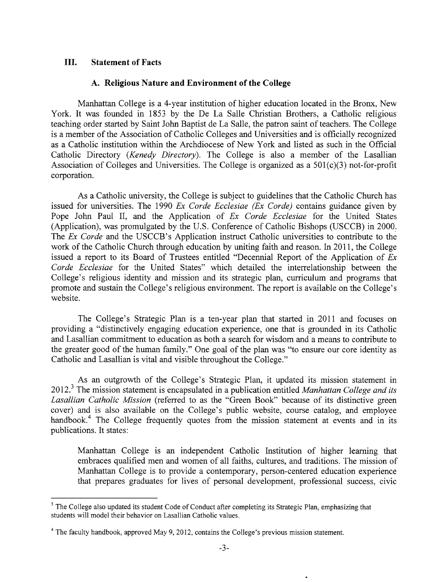### **III. Statement of Facts**

#### **A. Religious Nature and Environment of the College**

Manhattan College is a 4-year institution of higher education located in the Bronx, New York. It was founded in 1853 by the De La Salle Christian Brothers, a Catholic religious teaching order started by Saint John Baptist de La Salle, the patron saint of teachers. The College is a member of the Association of Catholic Colleges and Universities and is officially recognized as a Catholic institution within the Archdiocese of New York and listed as such in the Official Catholic Directory *(Kenedy Directory).* The College is also a member of the Lasallian Association of Colleges and Universities. The College is organized as a 501(c)(3) not-for-profit corporation.

As a Catholic university, the College is subject to guidelines that the Catholic Church has issued for universities. The 1990 *Ex Corde Ecclesiae (Ex Corde)* contains guidance given by Pope John Paul II, and the Application of *Ex Corde Ecclesiae* for the United States (Application), was promulgated by the U.S. Conference of Catholic Bishops (USCCB) in 2000, The *Ex Corde* and the USCCB's Application instruct Catholic universities to contribute to the work of the Catholic Church through education by uniting faith and reason. In 2011, the College issued a report to its Board of Trustees entitled "Decennial Report of the Application of *Ex Corde Ecclesiae* for the United States" which detailed the interrelationship between the College's religious identity and mission and its strategic plan, curriculum and programs that promote and sustain the College's religious environment. The report is available on the College's website.

The College's Strategic Plan is a ten-year plan that started in 2011 and focuses on providing a "distinctively engaging education experience, one that is grounded in its Catholic and Lasallian commitment to education as both a search for wisdom and a means to contribute to the greater good of the human family." One goal of the plan was "to ensure our core identity as Catholic and Lasallian is vital and visible throughout the College."

As an outgrowth of the College's Strategic Plan, it updated its mission statement in 2012.3The mission statement is encapsulated in a publication entitled *Manhattan College and its Lasallian Catholic Mission* (referred to as the "Green Book" because of its distinctive green cover) and is also available on the College's public website, course catalog, and employee handbook.<sup>4</sup> The College frequently quotes from the mission statement at events and in its publications. It states:

Manhattan College is an independent Catholic Institution of higher learning that embraces qualified men and women of all faiths, cultures, and traditions. The mission of Manhattan College is to provide a contemporary, person-centered education experience that prepares graduates for lives of personal development, professional success, civic

<sup>&</sup>lt;sup>3</sup> The College also updated its student Code of Conduct after completing its Strategic Plan, emphasizing that students will model their behavior on Lasallian Catholic values.

<sup>&</sup>lt;sup>4</sup> The faculty handbook, approved May 9, 2012, contains the College's previous mission statement.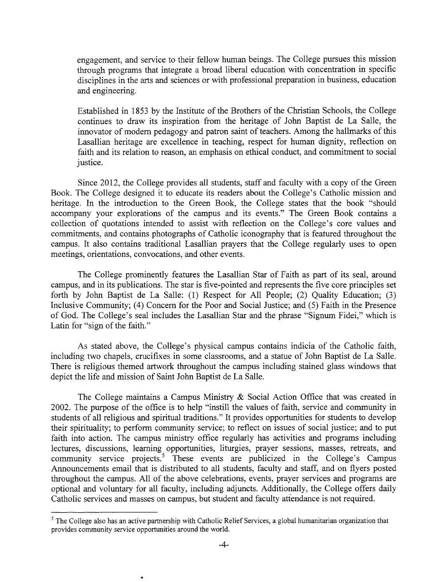engagement, and service to their fellow human beings. The College pursues this mission through programs that integrate a broad liberal education with concentration in specific disciplines in the arts and sciences or with professional preparation in business, education and engineering.

Established in 1853 by the Institute of the Brothers of the Christian Schools, the College continues to draw its inspiration from the heritage of John Baptist de La Salle, the innovator of modern pedagogy and patron saint of teachers. Among the hallmarks of this Lasallian heritage are excellence in teaching, respect for human dignity, reflection on faith and its relation to reason, an emphasis on ethical conduct, and commitment to social justice.

Since 2012, the College provides all students, staff and faculty with a copy of the Green Book. The College designed it to educate its readers about the College's Catholic mission and heritage. In the introduction to the Green Book, the College states that the book "should accompany your explorations of the campus and its events." The Green Book contains a collection of quotations intended to assist with reflection on the College's core values and commitments, and contains photographs of Catholic iconography that is featured throughout the campus. It also contains traditional Lasallian prayers that the College regularly uses to open meetings, orientations, convocations, and other events.

The College prominently features the Lasallian Star of Faith as part of its seal, around campus, and in its publications. The star is five-pointed and represents the five core principles set forth by John Baptist de La Salle: (1) Respect for All People; (2) Quality Education; (3) Inclusive Community; (4) Concern for the Poor and Social Justice; and (5) Faith in the Presence of God. The College's seal includes the Lasallian Star and the phrase "Signum Fidei," which is Latin for "sign of the faith."

As stated above, the College's physical campus contains indicia of the Catholic faith, including two chapels, crucifixes in some classrooms, and a statue of John Baptist de La Salle. There is religious themed artwork throughout the campus including stained glass windows that depict the life and mission of Saint John Baptist de La Salle.

The College maintains a Campus Ministry & Social Action Office that was created in 2002. The purpose of the office is to help "instill the values of faith, service and community in students of all religious and spiritual traditions." It provides opportunities for students to develop their spirituality; to perform community service; to reflect on issues of social justice; and to put faith into action. The campus ministry office regularly has activities and programs including lectures, discussions, learning opportunities, liturgies, prayer sessions, masses, retreats, and community service projects.<sup>5</sup> These events are publicized in the College's Campus Announcements email that is distributed to all students, faculty and staff, and on flyers posted throughout the campus. All of the above celebrations, events, prayer services and programs are optional and voluntary for all faculty, including adjuncts. Additionally, the College offers daily Catholic services and masses on campus, but student and faculty attendance is not required.

 $<sup>5</sup>$  The College also has an active partnership with Catholic Relief Services, a global humanitarian organization that</sup> provides community service opportunities around the world.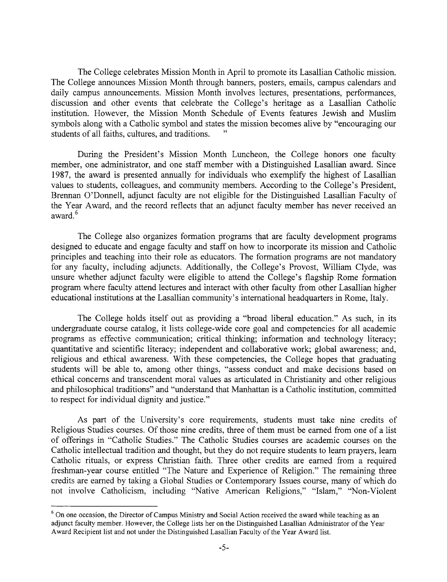The College celebrates Mission Month in April to promote its Lasallian Catholic mission. The College announces Mission Month through banners, posters, emails, campus calendars and daily campus announcements. Mission Month involves lectures, presentations, performances, discussion and other events that celebrate the College's heritage as a Lasallian Catholic institution. However, the Mission Month Schedule of Events features Jewish and Muslim symbols along with a Catholic symbol and states the mission becomes alive by "encouraging our students of all faiths, cultures, and traditions.

During the President's Mission Month Luncheon, the College honors one faculty member, one administrator, and one staff member with a Distinguished Lasallian award. Since 1987, the award is presented annually for individuals who exemplify the highest of Lasallian values to students, colleagues, and community members. According to the College's President, Brennan O'Donnell, adjunct faculty are not eligible for the Distinguished Lasallian Faculty of the Year Award, and the record reflects that an adjunct faculty member has never received an award.<sup>6</sup>

The College also organizes formation programs that are faculty development programs designed to educate and engage faculty and staff on how to incorporate its mission and Catholic principles and teaching into their role as educators. The formation programs are not mandatory for any faculty, including adjuncts. Additionally, the College's Provost, William Clyde, was unsure whether adjunct faculty were eligible to attend the College's flagship Rome formation program where faculty attend lectures and interact with other faculty from other Lasallian higher educational institutions at the Lasallian community's international headquarters in Rome, Italy.

The College holds itself out as providing a "broad liberal education." As such, in its undergraduate course catalog, it lists college-wide core goal and competencies for all academic programs as effective communication; critical thinking; information and technology literacy; quantitative and scientific literacy; independent and collaborative work; global awareness; and, religious and ethical awareness. With these competencies, the College hopes that graduating students will be able to, among other things, "assess conduct and make decisions based on ethical concerns and transcendent moral values as articulated in Christianity and other religious and philosophical traditions" and "understand that Manhattan is a Catholic institution, committed to respect for individual dignity and justice."

As part of the University's core requirements, students must take nine credits of Religious Studies courses. Of those nine credits, three of them must be earned from one of a list of offerings in "Catholic Studies." The Catholic Studies courses are academic courses on the Catholic intellectual tradition and thought, but they do not require students to learn prayers, learn Catholic rituals, or express Christian faith. Three other credits are earned from a required freshman-year course entitled "The Nature and Experience of Religion." The remaining three credits are earned by taking a Global Studies or Contemporary Issues course, many of which do not involve Catholicism, including "Native American Religions," "Islam," "Non-Violent

 $6$  On one occasion, the Director of Campus Ministry and Social Action received the award while teaching as an adjunct faculty member. However, the College lists her on the Distinguished Lasallian Administrator of the Year Award Recipient list and not under the Distinguished Lasallian Faculty of the Year Award list.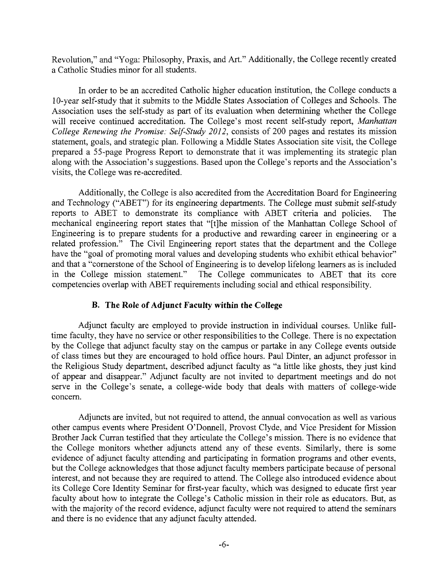Revolution," and "Yoga: Philosophy, Praxis, and Art." Additionally, the College recently created a Catholic Studies minor for all students.

In order to be an accredited Catholic higher education institution, the College conducts a 10-year self-study that it submits to the Middle States Association of Colleges and Schools. The Association uses the self-study as part of its evaluation when determining whether the College will receive continued accreditation. The College's most recent self-study report, *Manhattan College Renewing the Promise: Self-Study 2012,* consists of 200 pages and restates its mission statement, goals, and strategic plan. Following a Middle States Association site visit, the College prepared a 55-page Progress Report to demonstrate that it was implementing its strategic plan along with the Association's suggestions. Based upon the College's reports and the Association's visits, the College was re-accredited.

Additionally, the College is also accredited from the Accreditation Board for Engineering and Technology ("ABET") for its engineering departments. The College must submit self-study reports to ABET to demonstrate its compliance with ABET criteria and policies. The mechanical engineering report states that "[t]he mission of the Manhattan College School of Engineering is to prepare students for a productive and rewarding career in engineering or a related profession." The Civil Engineering report states that the department and the College have the "goal of promoting moral values and developing students who exhibit ethical behavior" and that a "cornerstone of the School of Engineering is to develop lifelong learners as is included in the College mission statement." The College communicates to ABET that its core competencies overlap with ABET requirements including social and ethical responsibility.

#### **B. The Role of Adjunct Faculty within the College**

Adjunct faculty are employed to provide instruction in individual courses. Unlike fulltime faculty, they have no service or other responsibilities to the College. There is no expectation by the College that adjunct faculty stay on the campus or partake in any College events outside of class times but they are encouraged to hold office hours. Paul Dinter, an adjunct professor in the Religious Study department, described adjunct faculty as "a little like ghosts, they just kind of appear and disappear." Adjunct faculty are not invited to department meetings and do not serve in the College's senate, a college-wide body that deals with matters of college-wide concern.

Adjuncts are invited, but not required to attend, the annual convocation as well as various other campus events where President O'Donnell, Provost Clyde, and Vice President for Mission Brother Jack Curran testified that they articulate the College's mission. There is no evidence that the College monitors whether adjuncts attend any of these events. Similarly, there is some evidence of adjunct faculty attending and participating in formation programs and other events, but the College acknowledges that those adjunct faculty members participate because of personal interest, and not because they are required to attend. The College also introduced evidence about its College Core Identity Seminar for first-year faculty, which was designed to educate first year faculty about how to integrate the College's Catholic mission in their role as educators. But, as with the majority of the record evidence, adjunct faculty were not required to attend the seminars and there is no evidence that any adjunct faculty attended.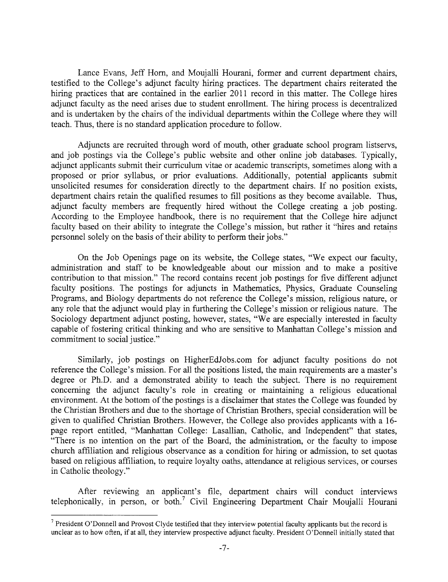Lance Evans, Jeff Horn, and Moujalli Hourani, former and current department chairs, testified to the College's adjunct faculty hiring practices. The department chairs reiterated the hiring practices that are contained in the earlier 2011 record in this matter. The College hires adjunct faculty as the need arises due to student enrollment. The hiring process is decentralized and is undertaken by the chairs of the individual departments within the College where they will teach. Thus, there is no standard application procedure to follow.

Adjuncts are recruited through word of mouth, other graduate school program listservs, and job postings via the College's public website and other online job databases. Typically, adjunct applicants submit their curriculum vitae or academic transcripts, sometimes along with a proposed or prior syllabus, or prior evaluations. Additionally, potential applicants submit unsolicited resumes for consideration directly to the department chairs. If no position exists, department chairs retain the qualified resumes to fill positions as they become available. Thus, adjunct faculty members are frequently hired without the College creating a job posting. According to the Employee handbook, there is no requirement that the College hire adjunct faculty based on their ability to integrate the College's mission, but rather it "hires and retains personnel solely on the basis of their ability to perform their jobs."

On the Job Openings page on its website, the College states, "We expect our faculty, administration and staff to be knowledgeable about our mission and to make a positive contribution to that mission." The record contains recent job postings for five different adjunct faculty positions. The postings for adjuncts in Mathematics, Physics, Graduate Counseling Programs, and Biology departments do not reference the College's mission, religious nature, or any role that the adjunct would play in furthering the College's mission or religious nature. The Sociology department adjunct posting, however, states, "We are especially interested in faculty capable of fostering critical thinking and who are sensitive to Manhattan College's mission and commitment to social justice."

Similarly, job postings on HigherEdJobs.com for adjunct faculty positions do not reference the College's mission. For all the positions listed, the main requirements are a master's degree or Ph.D. and a demonstrated ability to teach the subject. There is no requirement concerning the adjunct faculty's role in creating or maintaining a religious educational environment. At the bottom of the postings is a disclaimer that states the College was founded by the Christian Brothers and due to the shortage of Christian Brothers, special consideration will be given to qualified Christian Brothers. However, the College also provides applicants with a 16 page report entitled, "Manhattan College: Lasallian, Catholic, and Independent" that states, "There is no intention on the part of the Board, the administration, or the faculty to impose church affiliation and religious observance as a condition for hiring or admission, to set quotas based on religious affiliation, to require loyalty oaths, attendance at religious services, or courses in Catholic theology."

After reviewing an applicant's file, department chairs will conduct interviews telephonically, in person, or both.' Civil Engineering Department Chair Moujalli Hourani

 $<sup>7</sup>$  President O'Donnell and Provost Clyde testified that they interview potential faculty applicants but the record is</sup> unclear as to how often, if at all, they interview prospective adjunct faculty. President O'Donnell initially stated that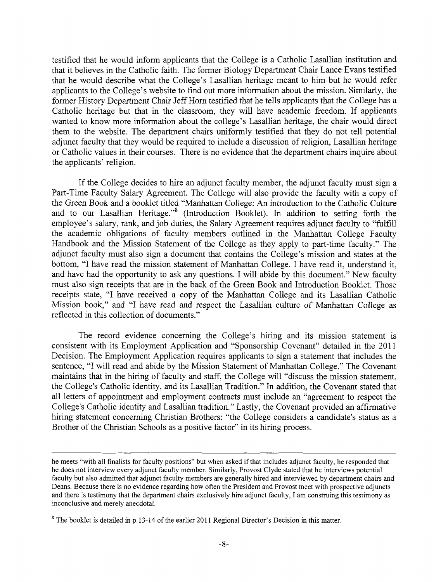testified that he would inform applicants that the College is a Catholic Lasallian institution and that it believes in the Catholic faith. The former Biology Department Chair Lance Evans testified that he would describe what the College's Lasallian heritage meant to him but he would refer applicants to the College's website to find out more information about the mission. Similarly, the former History Department Chair *Jeff* Horn testified that he tells applicants that the College has a Catholic heritage but that in the classroom, they will have academic freedom. If applicants wanted to know more information about the college's Lasallian heritage, the chair would direct them to the website. The department chairs uniformly testified that they do not tell potential adjunct faculty that they would be required to include a discussion of religion, Lasallian heritage or Catholic values in their courses. There is no evidence that the department chairs inquire about the applicants' religion.

If the College decides to hire an adjunct faculty member, the adjunct faculty must sign a Part-Time Faculty Salary Agreement. The College will also provide the faculty with a copy of the Green Book and a booklet titled "Manhattan College: An introduction to the Catholic Culture and to our Lasallian Heritage."<sup>8</sup> (Introduction Booklet). In addition to setting forth the employee's salary, rank, and job duties, the Salary Agreement requires adjunct faculty to "fulfill the academic obligations of faculty members outlined in the Manhattan College Faculty Handbook and the Mission Statement of the College as they apply to part-time faculty." The adjunct faculty must also sign a document that contains the College's mission and states at the bottom, "I have read the mission statement of Manhattan College. I have read it, understand it, and have had the opportunity to ask any questions. I will abide by this document." New faculty must also sign receipts that are in the back of the Green Book and Introduction Booklet. Those receipts state, "I have received a copy of the Manhattan College and its Lasallian Catholic Mission book," and "I have read and respect the Lasallian culture of Manhattan College as reflected in this collection of documents."

The record evidence concerning the College's hiring and its mission statement is consistent with its Employment Application and "Sponsorship Covenant" detailed in the 2011 Decision. The Employment Application requires applicants to sign a statement that includes the sentence, "I will read and abide by the Mission Statement of Manhattan College." The Covenant maintains that in the hiring of faculty and staff, the College will "discuss the mission statement, the College's Catholic identity, and its Lasallian Tradition." In addition, the Covenant stated that all letters of appointment and employment contracts must include an "agreement to respect the College's Catholic identity and Lasallian tradition." Lastly, the Covenant provided an affirmative hiring statement concerning Christian Brothers: "the College considers a candidate's status as a Brother of the Christian Schools as a positive factor" in its hiring process.

he meets "with all fmalists for faculty positions" but when asked if that includes adjunct faculty, he responded that he does not interview every adjunct faculty member. Similarly, Provost Clyde stated that he interviews potential faculty but also admitted that adjunct faculty members are generally hired and interviewed by department chairs and Deans. Because there is no evidence regarding how often the President and Provost meet with prospective adjuncts and there is testimony that the department chairs exclusively hire adjunct faculty, I am construing this testimony as inconclusive and merely anecdotal.

<sup>&</sup>lt;sup>8</sup> The booklet is detailed in p.13-14 of the earlier 2011 Regional Director's Decision in this matter.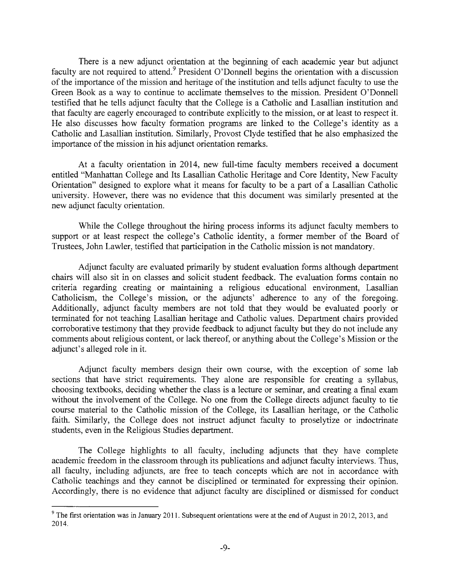There is a new adjunct orientation at the beginning of each academic year but adjunct faculty are not required to attend.<sup>9</sup> President O'Donnell begins the orientation with a discussion of the importance of the mission and heritage of the institution and tells adjunct faculty to use the Green Book as a way to continue to acclimate themselves to the mission. President O'Donnell testified that he tells adjunct faculty that the College is a Catholic and Lasallian institution and that faculty are eagerly encouraged to contribute explicitly to the mission, or at least to respect it. He also discusses how faculty formation programs are linked to the College's identity as a Catholic and Lasallian institution. Similarly, Provost Clyde testified that he also emphasized the importance of the mission in his adjunct orientation remarks.

At a faculty orientation in 2014, new full-time faculty members received a document entitled "Manhattan College and Its Lasallian Catholic Heritage and Core Identity, New Faculty Orientation" designed to explore what it means for faculty to be a part of a Lasallian Catholic university. However, there was no evidence that this document was similarly presented at the new adjunct faculty orientation.

While the College throughout the hiring process informs its adjunct faculty members to support or at least respect the college's Catholic identity, a former member of the Board of Trustees, John Lawler, testified that participation in the Catholic mission is not mandatory.

Adjunct faculty are evaluated primarily by student evaluation forms although department chairs will also sit in on classes and solicit student feedback. The evaluation forms contain no criteria regarding creating or maintaining a religious educational environment, Lasallian Catholicism, the College's mission, or the adjuncts' adherence to any of the foregoing. Additionally, adjunct faculty members are not told that they would be evaluated poorly or terminated for not teaching Lasallian heritage and Catholic values. Department chairs provided corroborative testimony that they provide feedback to adjunct faculty but they do not include any comments about religious content, or lack thereof, or anything about the College's Mission or the adjunct's alleged role in it.

Adjunct faculty members design their own course, with the exception of some lab sections that have strict requirements. They alone are responsible for creating a syllabus, choosing textbooks, deciding whether the class is a lecture or seminar, and creating a final exam without the involvement of the College. No one from the College directs adjunct faculty to tie course material to the Catholic mission of the College, its Lasallian heritage, or the Catholic faith. Similarly, the College does not instruct adjunct faculty to proselytize or indoctrinate students, even in the Religious Studies department.

The College highlights to all faculty, including adjuncts that they have complete academic freedom in the classroom through its publications and adjunct faculty interviews. Thus, all faculty, including adjuncts, are free to teach concepts which are not in accordance with Catholic teachings and they cannot be disciplined or terminated for expressing their opinion. Accordingly, there is no evidence that adjunct faculty are disciplined or dismissed for conduct

<sup>&</sup>lt;sup>9</sup> The first orientation was in January 2011. Subsequent orientations were at the end of August in 2012, 2013, and 2014.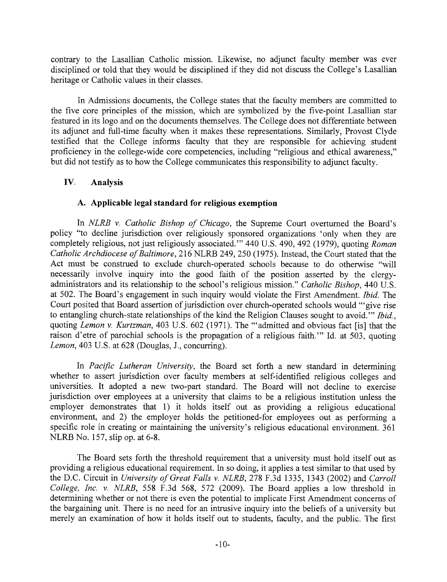contrary to the Lasallian Catholic mission. Likewise, no adjunct faculty member was ever disciplined or told that they would be disciplined if they did not discuss the College's Lasallian heritage or Catholic values in their classes.

In Admissions documents, the College states that the faculty members are committed to the five core principles of the mission, which are symbolized by the five-point Lasallian star featured in its logo and on the documents themselves. The College does not differentiate between its adjunct and full-time faculty when it makes these representations. Similarly, Provost Clyde testified that the College informs faculty that they are responsible for achieving student proficiency in the college-wide core competencies, including "religious and ethical awareness," but did not testify as to how the College communicates this responsibility to adjunct faculty.

# **IV. Analysis**

# **A. Applicable legal standard for religious exemption**

In *NLRB v. Catholic Bishop of Chicago,* the Supreme Court overturned the Board's policy "to decline jurisdiction over religiously sponsored organizations 'only when they are completely religious, not just religiously associated." 440 U.S. 490, 492 (1979), quoting *Roman Catholic Archdiocese of Baltimore,* 216 NLRB 249, 250 (1975). Instead, the Court stated that the Act must be construed to exclude church-operated schools because to do otherwise "will necessarily involve inquiry into the good faith of the position asserted by the clergyadministrators and its relationship to the school's religious mission." *Catholic Bishop,* 440 U.S. at 502. The Board's engagement in such inquiry would violate the First Amendment. *Ibid.* The Court posited that Board assertion of jurisdiction over church-operated schools would "give rise to entangling church-state relationships of the kind the Religion Clauses sought to avoid." *Ibid.*, quoting *Lemon v. Kurtzman,* 403 U.S. 602 (1971). The "admitted and obvious fact [is] that the raison d'etre of parochial schools is the propagation of a religious faith." Id. at  $503$ , quoting *Lemon,* 403 U.S. at 628 (Douglas, J., concurring).

In *Pacific Lutheran University,* the Board set forth a new standard in determining whether to assert jurisdiction over faculty members at self-identified religious colleges and universities. It adopted a new two-part standard. The Board will not decline to exercise jurisdiction over employees at a university that claims to be a religious institution unless the employer demonstrates that 1) it holds itself out as providing a religious educational environment, and 2) the employer holds the petitioned-for employees out as performing a specific role in creating or maintaining the university's religious educational environment. 361 NLRB No. 157, slip op. at 6-8.

The Board sets forth the threshold requirement that a university must hold itself out as providing a religious educational requirement. In so doing, it applies a test similar to that used by the D.C. Circuit in *University of Great Falls v. NLRB,* 278 F.3d 1335, 1343 (2002) and *Carroll College, Inc. v. NLRB,* 558 F.3d 568, 572 (2009). The Board applies a low threshold in determining whether or not there is even the potential to implicate First Amendment concerns of the bargaining unit. There is no need for an intrusive inquiry into the beliefs of a university but merely an examination of how it holds itself out to students, faculty, and the public. The first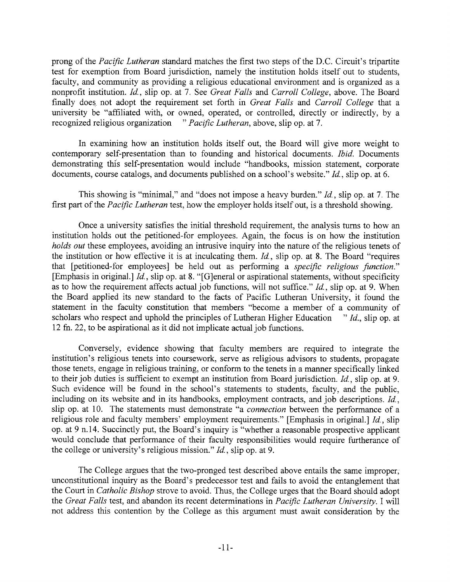prong of the *Pacific Lutheran* standard matches the first two steps of the D.C. Circuit's tripartite test for exemption from Board jurisdiction, namely the institution holds itself out to students, faculty, and community as providing a religious educational environment and is organized as a nonprofit institution. *Id,* slip op. at 7. See *Great Falls* and *Carroll College,* above. The Board finally does not adopt the requirement set forth in *Great Falls* and *Carroll College* that a university be "affiliated with, or owned, operated, or controlled, directly or indirectly, by a recognized religious organization *"Pacific Lutheran,* above, slip op. at 7.

In examining how an institution holds itself out, the Board will give more weight to contemporary self-presentation than to founding and historical documents. *Ibid.* Documents demonstrating this self-presentation would include "handbooks, mission statement, corporate documents, course catalogs, and documents published on a school's website." *Id,* slip op. at 6.

This showing is "minimal," and "does not impose a heavy burden." *Id,* slip op. at 7. The first part of the *Pacific Lutheran* test, how the employer holds itself out, is a threshold showing.

Once a university satisfies the initial threshold requirement, the analysis turns to how an institution holds out the petitioned-for employees. Again, the focus is on how the institution *holds out* these employees, avoiding an intrusive inquiry into the nature of the religious tenets of the institution or how effective it is at inculcating them. *Id.,* slip op. at 8. The Board "requires that [petitioned-for employees] be held out as performing a *specific religious function."*  [Emphasis in original.] *Id.,* slip op. at 8. "[G]eneral or aspirational statements, without specificity as to how the requirement affects actual job functions, will not suffice." *Id,* slip op. at 9. When the Board applied its new standard to the facts of Pacific Lutheran University, it found the statement in the faculty constitution that members "become a member of a community of scholars who respect and uphold the principles of Lutheran Higher Education " *Id.,* slip op. at 12 fn. 22, to be aspirational as it did not implicate actual job functions.

Conversely, evidence showing that faculty members are required to integrate the institution's religious tenets into coursework, serve as religious advisors to students, propagate those tenets, engage in religious training, or conform to the tenets in a manner specifically linked to their job duties is sufficient to exempt an institution from Board jurisdiction. *Id,* slip op. at 9. Such evidence will be found in the school's statements to students, faculty, and the public, including on its website and in its handbooks, employment contracts, and job descriptions. *Id.,*  slip op. at 10. The statements must demonstrate "a *connection* between the performance of a religious role and faculty members' employment requirements." [Emphasis in original.] *Id,* slip op. at 9 n.14. Succinctly put, the Board's inquiry is "whether a reasonable prospective applicant would conclude that performance of their faculty responsibilities would require furtherance of the college or university's religious mission." *Id.,* slip op. at 9.

The College argues that the two-pronged test described above entails the same improper, unconstitutional inquiry as the Board's predecessor test and fails to avoid the entanglement that the Court in *Catholic Bishop* strove to avoid. Thus, the College urges that the Board should adopt the *Great Falls* test, and abandon its recent determinations in *Pacific Lutheran University. I* will not address this contention by the College as this argument must await consideration by the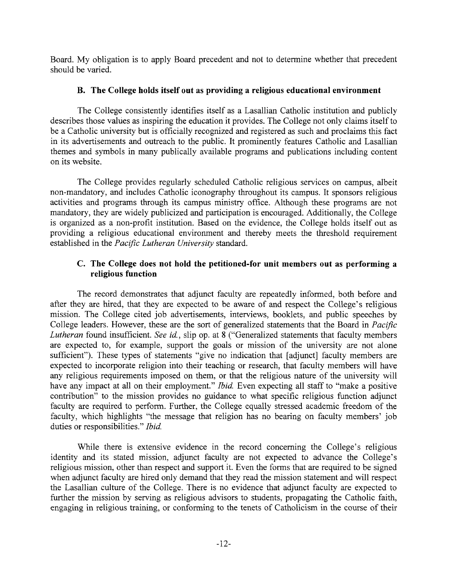Board. My obligation is to apply Board precedent and not to determine whether that precedent should be varied.

## **B. The College holds itself out as providing a religious educational environment**

The College consistently identifies itself as a Lasallian Catholic institution and publicly describes those values as inspiring the education it provides. The College not only claims itself to be a Catholic university but is officially recognized and registered as such and proclaims this fact in its advertisements and outreach to the public. It prominently features Catholic and Lasallian themes and symbols in many publically available programs and publications including content on its website.

The College provides regularly scheduled Catholic religious services on campus, albeit non-mandatory, and includes Catholic iconography throughout its campus. It sponsors religious activities and programs through its campus ministry office. Although these programs are not mandatory, they are widely publicized and participation is encouraged. Additionally, the College is organized as a non-profit institution. Based on the evidence, the College holds itself out as providing a religious educational environment and thereby meets the threshold requirement established in the *Pacific Lutheran University* standard.

# **C. The College does not hold the petitioned-for unit members out as performing a religious function**

The record demonstrates that adjunct faculty are repeatedly informed, both before and after they are hired, that they are expected to be aware of and respect the College's religious mission. The College cited job advertisements, interviews, booklets, and public speeches by College leaders. However, these are the sort of generalized statements that the Board in *Pacific Lutheran* found insufficient. *See id.,* slip op. at 8 ("Generalized statements that faculty members are expected to, for example, support the goals or mission of the university are not alone sufficient"). These types of statements "give no indication that [adjunct] faculty members are expected to incorporate religion into their teaching or research, that faculty members will have any religious requirements imposed on them, or that the religious nature of the university will have any impact at all on their employment." *Ibid.* Even expecting all staff to "make a positive" contribution" to the mission provides no guidance to what specific religious function adjunct faculty are required to perform. Further, the College equally stressed academic freedom of the faculty, which highlights "the message that religion has no bearing on faculty members' job duties or responsibilities." *Ibid.* 

While there is extensive evidence in the record concerning the College's religious identity and its stated mission, adjunct faculty are not expected to advance the College's religious mission, other than respect and support it. Even the forms that are required to be signed when adjunct faculty are hired only demand that they read the mission statement and will respect the Lasallian culture of the College. There is no evidence that adjunct faculty are expected to further the mission by serving as religious advisors to students, propagating the Catholic faith, engaging in religious training, or conforming to the tenets of Catholicism in the course of their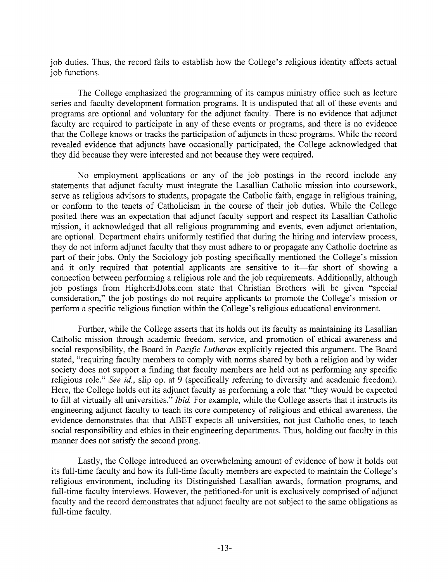job duties. Thus, the record fails to establish how the College's religious identity affects actual job functions.

The College emphasized the programming of its campus ministry office such as lecture series and faculty development formation programs. It is undisputed that all of these events and programs are optional and voluntary for the adjunct faculty. There is no evidence that adjunct faculty are required to participate in any of these events or programs, and there is no evidence that the College knows or tracks the participation of adjuncts in these programs. While the record revealed evidence that adjuncts have occasionally participated, the College acknowledged that they did because they were interested and not because they were required.

No employment applications or any of the job postings in the record include any statements that adjunct faculty must integrate the Lasallian Catholic mission into coursework, serve as religious advisors to students, propagate the Catholic faith, engage in religious training, or conform to the tenets of Catholicism in the course of their job duties. While the College posited there was an expectation that adjunct faculty support and respect its Lasallian Catholic mission, it acknowledged that all religious programming and events, even adjunct orientation, are optional. Department chairs uniformly testified that during the hiring and interview process, they do not inform adjunct faculty that they must adhere to or propagate any Catholic doctrine as part of their jobs. Only the Sociology job posting specifically mentioned the College's mission and it only required that potential applicants are sensitive to it—far short of showing a connection between performing a religious role and the job requirements. Additionally, although job postings from HigherEdJobs.com state that Christian Brothers will be given "special consideration," the job postings do not require applicants to promote the College's mission or perform a specific religious function within the College's religious educational environment.

Further, while the College asserts that its holds out its faculty as maintaining its Lasallian Catholic mission through academic freedom, service, and promotion of ethical awareness and social responsibility, the Board in *Pacific Lutheran* explicitly rejected this argument. The Board stated, "requiring faculty members to comply with norms shared by both a religion and by wider society does not support a finding that faculty members are held out as performing any specific religious role." *See id.,* slip op. at 9 (specifically referring to diversity and academic freedom). Here, the College holds out its adjunct faculty as performing a role that "they would be expected to fill at virtually all universities." *Ibid.* For example, while the College asserts that it instructs its engineering adjunct faculty to teach its core competency of religious and ethical awareness, the evidence demonstrates that that ABET expects all universities, not just Catholic ones, to teach social responsibility and ethics in their engineering departments. Thus, holding out faculty in this manner does not satisfy the second prong.

Lastly, the College introduced an overwhelming amount of evidence of how it holds out its full-time faculty and how its full-time faculty members are expected to maintain the College's religious environment, including its Distinguished Lasallian awards, formation programs, and full-time faculty interviews. However, the petitioned-for unit is exclusively comprised of adjunct faculty and the record demonstrates that adjunct faculty are not subject to the same obligations as full-time faculty.